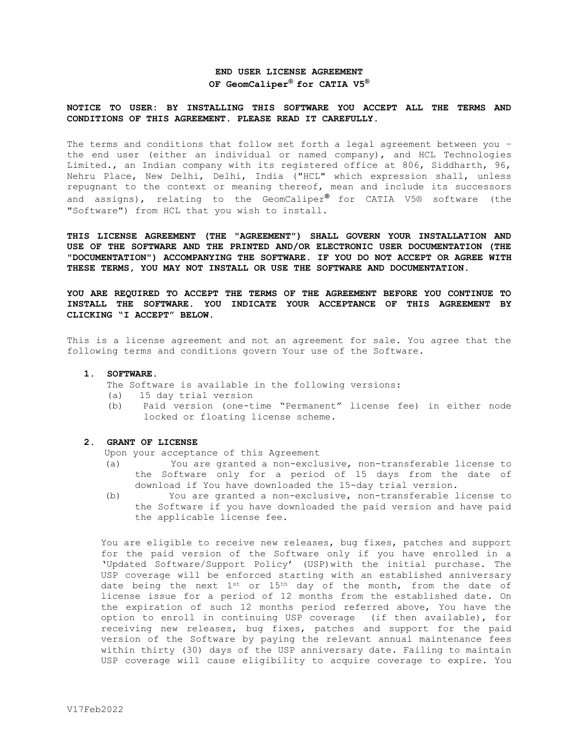# **END USER LICENSE AGREEMENT OF GeomCaliper® for CATIA V5 ®**

### **NOTICE TO USER: BY INSTALLING THIS SOFTWARE YOU ACCEPT ALL THE TERMS AND CONDITIONS OF THIS AGREEMENT. PLEASE READ IT CAREFULLY.**

The terms and conditions that follow set forth a legal agreement between you – the end user (either an individual or named company), and HCL Technologies Limited., an Indian company with its registered office at 806, Siddharth, 96, Nehru Place, New Delhi, Delhi, India ("HCL" which expression shall, unless repugnant to the context or meaning thereof, mean and include its successors and assigns), relating to the GeomCaliper**®** for CATIA V5® software (the "Software") from HCL that you wish to install.

**THIS LICENSE AGREEMENT (THE "AGREEMENT") SHALL GOVERN YOUR INSTALLATION AND USE OF THE SOFTWARE AND THE PRINTED AND/OR ELECTRONIC USER DOCUMENTATION (THE "DOCUMENTATION") ACCOMPANYING THE SOFTWARE. IF YOU DO NOT ACCEPT OR AGREE WITH THESE TERMS, YOU MAY NOT INSTALL OR USE THE SOFTWARE AND DOCUMENTATION.** 

**YOU ARE REQUIRED TO ACCEPT THE TERMS OF THE AGREEMENT BEFORE YOU CONTINUE TO INSTALL THE SOFTWARE. YOU INDICATE YOUR ACCEPTANCE OF THIS AGREEMENT BY CLICKING "I ACCEPT" BELOW.**

This is a license agreement and not an agreement for sale. You agree that the following terms and conditions govern Your use of the Software.

#### **1. SOFTWARE.**

- The Software is available in the following versions:
- (a) 15 day trial version
- (b) Paid version (one-time "Permanent" license fee) in either node locked or floating license scheme.

## **2. GRANT OF LICENSE**

Upon your acceptance of this Agreement

- (a) You are granted a non-exclusive, non-transferable license to the Software only for a period of 15 days from the date of download if You have downloaded the 15-day trial version.
- (b) You are granted a non-exclusive, non-transferable license to the Software if you have downloaded the paid version and have paid the applicable license fee.

You are eligible to receive new releases, bug fixes, patches and support for the paid version of the Software only if you have enrolled in a 'Updated Software/Support Policy' (USP)with the initial purchase. The USP coverage will be enforced starting with an established anniversary date being the next  $1^{st}$  or  $15^{th}$  day of the month, from the date of license issue for a period of 12 months from the established date. On the expiration of such 12 months period referred above, You have the option to enroll in continuing USP coverage (if then available), for receiving new releases, bug fixes, patches and support for the paid version of the Software by paying the relevant annual maintenance fees within thirty (30) days of the USP anniversary date. Failing to maintain USP coverage will cause eligibility to acquire coverage to expire. You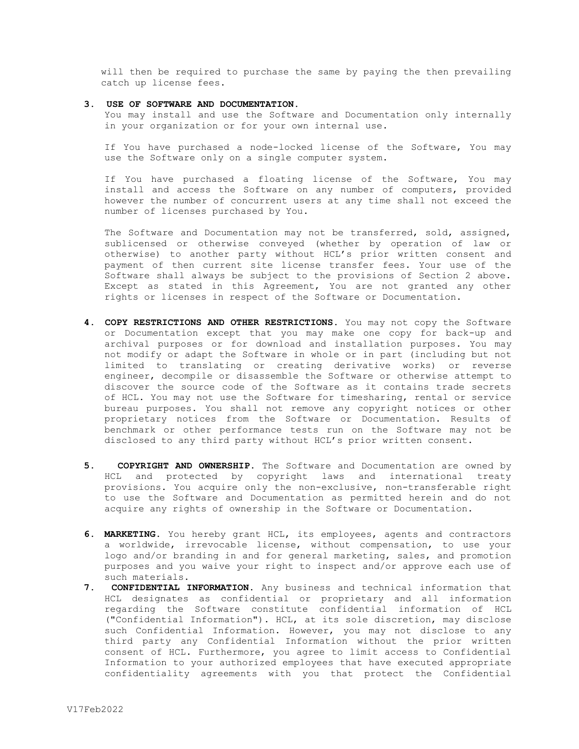will then be required to purchase the same by paying the then prevailing catch up license fees.

#### **3. USE OF SOFTWARE AND DOCUMENTATION.**

You may install and use the Software and Documentation only internally in your organization or for your own internal use.

If You have purchased a node-locked license of the Software, You may use the Software only on a single computer system.

If You have purchased a floating license of the Software, You may install and access the Software on any number of computers, provided however the number of concurrent users at any time shall not exceed the number of licenses purchased by You.

The Software and Documentation may not be transferred, sold, assigned, sublicensed or otherwise conveyed (whether by operation of law or otherwise) to another party without HCL's prior written consent and payment of then current site license transfer fees. Your use of the Software shall always be subject to the provisions of Section 2 above. Except as stated in this Agreement, You are not granted any other rights or licenses in respect of the Software or Documentation.

- **4. COPY RESTRICTIONS AND OTHER RESTRICTIONS.** You may not copy the Software or Documentation except that you may make one copy for back-up and archival purposes or for download and installation purposes. You may not modify or adapt the Software in whole or in part (including but not limited to translating or creating derivative works) or reverse engineer, decompile or disassemble the Software or otherwise attempt to discover the source code of the Software as it contains trade secrets of HCL. You may not use the Software for timesharing, rental or service bureau purposes. You shall not remove any copyright notices or other proprietary notices from the Software or Documentation. Results of benchmark or other performance tests run on the Software may not be disclosed to any third party without HCL's prior written consent.
- **5. COPYRIGHT AND OWNERSHIP.** The Software and Documentation are owned by HCL and protected by copyright laws and international treaty provisions. You acquire only the non-exclusive, non-transferable right to use the Software and Documentation as permitted herein and do not acquire any rights of ownership in the Software or Documentation.
- **6. MARKETING.** You hereby grant HCL, its employees, agents and contractors a worldwide, irrevocable license, without compensation, to use your logo and/or branding in and for general marketing, sales, and promotion purposes and you waive your right to inspect and/or approve each use of such materials.
- **7. CONFIDENTIAL INFORMATION.** Any business and technical information that HCL designates as confidential or proprietary and all information regarding the Software constitute confidential information of HCL ("Confidential Information"). HCL, at its sole discretion, may disclose such Confidential Information. However, you may not disclose to any third party any Confidential Information without the prior written consent of HCL. Furthermore, you agree to limit access to Confidential Information to your authorized employees that have executed appropriate confidentiality agreements with you that protect the Confidential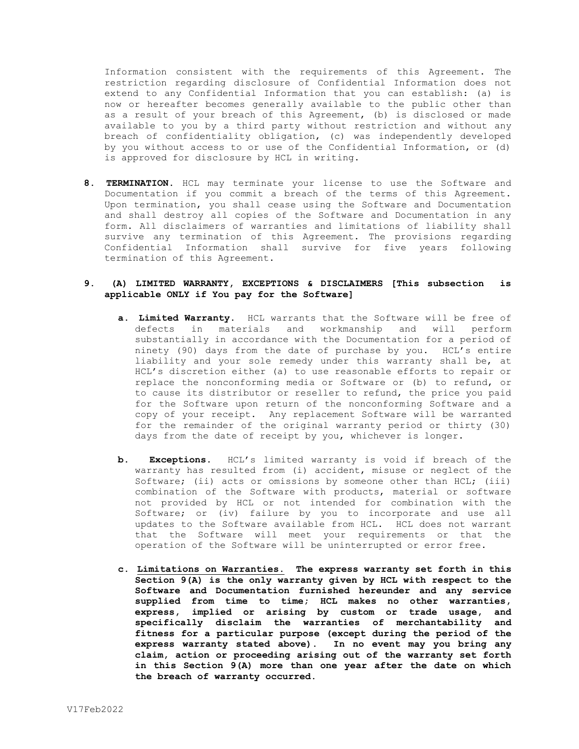Information consistent with the requirements of this Agreement. The restriction regarding disclosure of Confidential Information does not extend to any Confidential Information that you can establish: (a) is now or hereafter becomes generally available to the public other than as a result of your breach of this Agreement, (b) is disclosed or made available to you by a third party without restriction and without any breach of confidentiality obligation, (c) was independently developed by you without access to or use of the Confidential Information, or (d) is approved for disclosure by HCL in writing.

**8. TERMINATION.** HCL may terminate your license to use the Software and Documentation if you commit a breach of the terms of this Agreement. Upon termination, you shall cease using the Software and Documentation and shall destroy all copies of the Software and Documentation in any form. All disclaimers of warranties and limitations of liability shall survive any termination of this Agreement. The provisions regarding Confidential Information shall survive for five years following termination of this Agreement.

# **9. (A) LIMITED WARRANTY, EXCEPTIONS & DISCLAIMERS [This subsection is applicable ONLY if You pay for the Software]**

- **a. Limited Warranty.** HCL warrants that the Software will be free of defects in materials and workmanship and will perform substantially in accordance with the Documentation for a period of ninety (90) days from the date of purchase by you. HCL's entire liability and your sole remedy under this warranty shall be, at HCL's discretion either (a) to use reasonable efforts to repair or replace the nonconforming media or Software or (b) to refund, or to cause its distributor or reseller to refund, the price you paid for the Software upon return of the nonconforming Software and a copy of your receipt. Any replacement Software will be warranted for the remainder of the original warranty period or thirty (30) days from the date of receipt by you, whichever is longer.
- **b. Exceptions.** HCL's limited warranty is void if breach of the warranty has resulted from (i) accident, misuse or neglect of the Software; (ii) acts or omissions by someone other than HCL; (iii) combination of the Software with products, material or software not provided by HCL or not intended for combination with the Software; or (iv) failure by you to incorporate and use all updates to the Software available from HCL. HCL does not warrant that the Software will meet your requirements or that the operation of the Software will be uninterrupted or error free.
- **c. Limitations on Warranties. The express warranty set forth in this Section 9(A) is the only warranty given by HCL with respect to the Software and Documentation furnished hereunder and any service supplied from time to time; HCL makes no other warranties, express, implied or arising by custom or trade usage, and specifically disclaim the warranties of merchantability and fitness for a particular purpose (except during the period of the express warranty stated above). In no event may you bring any claim, action or proceeding arising out of the warranty set forth in this Section 9(A) more than one year after the date on which the breach of warranty occurred.**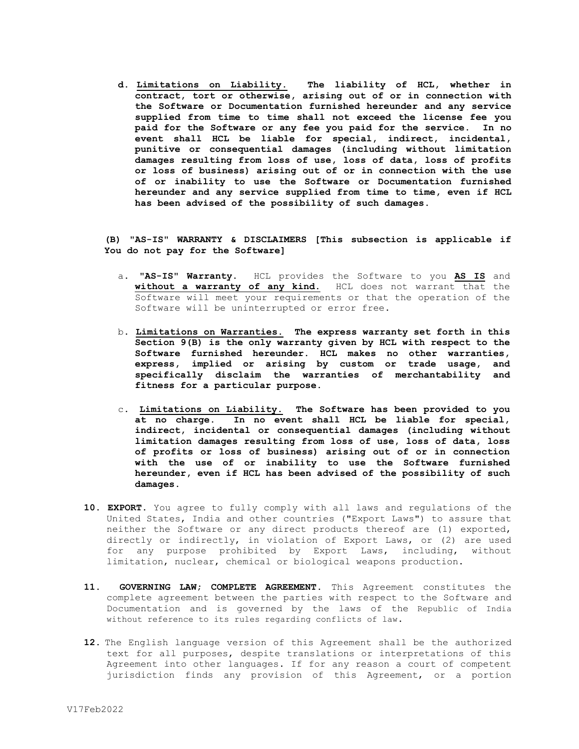**d. Limitations on Liability. The liability of HCL, whether in contract, tort or otherwise, arising out of or in connection with the Software or Documentation furnished hereunder and any service supplied from time to time shall not exceed the license fee you paid for the Software or any fee you paid for the service. In no event shall HCL be liable for special, indirect, incidental, punitive or consequential damages (including without limitation damages resulting from loss of use, loss of data, loss of profits or loss of business) arising out of or in connection with the use of or inability to use the Software or Documentation furnished hereunder and any service supplied from time to time, even if HCL has been advised of the possibility of such damages.** 

**(B) "AS-IS" WARRANTY & DISCLAIMERS [This subsection is applicable if You do not pay for the Software]**

- a. **"AS-IS" Warranty.** HCL provides the Software to you **AS IS** and **without a warranty of any kind.** HCL does not warrant that the Software will meet your requirements or that the operation of the Software will be uninterrupted or error free**.**
- b. **Limitations on Warranties. The express warranty set forth in this Section 9(B) is the only warranty given by HCL with respect to the Software furnished hereunder. HCL makes no other warranties, express, implied or arising by custom or trade usage, and specifically disclaim the warranties of merchantability and fitness for a particular purpose.**
- c. **Limitations on Liability. The Software has been provided to you at no charge. In no event shall HCL be liable for special, indirect, incidental or consequential damages (including without limitation damages resulting from loss of use, loss of data, loss of profits or loss of business) arising out of or in connection with the use of or inability to use the Software furnished hereunder, even if HCL has been advised of the possibility of such damages.**
- **10. EXPORT.** You agree to fully comply with all laws and regulations of the United States, India and other countries ("Export Laws") to assure that neither the Software or any direct products thereof are (1) exported, directly or indirectly, in violation of Export Laws, or (2) are used for any purpose prohibited by Export Laws, including, without limitation, nuclear, chemical or biological weapons production.
- **11. GOVERNING LAW; COMPLETE AGREEMENT.** This Agreement constitutes the complete agreement between the parties with respect to the Software and Documentation and is governed by the laws of the Republic of India without reference to its rules regarding conflicts of law.
- **12.** The English language version of this Agreement shall be the authorized text for all purposes, despite translations or interpretations of this Agreement into other languages. If for any reason a court of competent jurisdiction finds any provision of this Agreement, or a portion